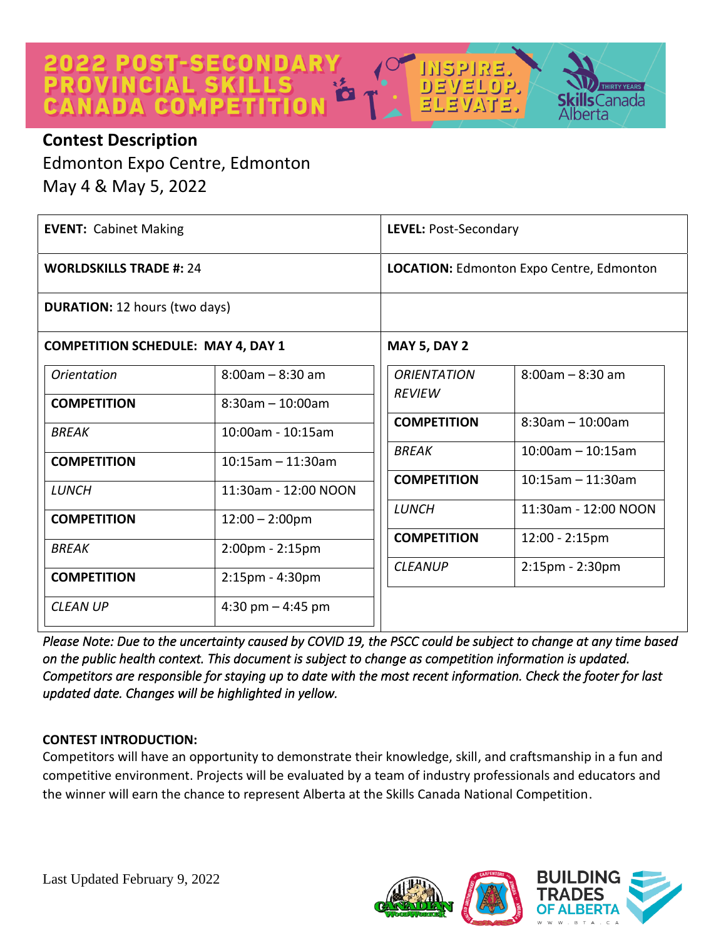

Canada



Edmonton Expo Centre, Edmonton May 4 & May 5, 2022

| <b>EVENT: Cabinet Making</b>              |                       | LEVEL: Post-Secondary               |                                                 |
|-------------------------------------------|-----------------------|-------------------------------------|-------------------------------------------------|
| <b>WORLDSKILLS TRADE #: 24</b>            |                       |                                     | <b>LOCATION: Edmonton Expo Centre, Edmonton</b> |
| <b>DURATION: 12 hours (two days)</b>      |                       |                                     |                                                 |
| <b>COMPETITION SCHEDULE: MAY 4, DAY 1</b> |                       | <b>MAY 5, DAY 2</b>                 |                                                 |
| <i><u><b>Orientation</b></u></i>          | $8:00$ am – $8:30$ am | <b>ORIENTATION</b><br><b>REVIEW</b> | $8:00$ am - $8:30$ am                           |
| <b>COMPETITION</b>                        | $8:30$ am - 10:00am   |                                     |                                                 |
| BREAK                                     | 10:00am - 10:15am     | <b>COMPETITION</b>                  | $8:30$ am - 10:00am                             |
| <b>COMPETITION</b>                        | $10:15$ am - 11:30am  | <b>BREAK</b>                        | $10:00$ am - 10:15am                            |
| LUNCH                                     | 11:30am - 12:00 NOON  | <b>COMPETITION</b>                  | $10:15$ am - 11:30am                            |
|                                           |                       | <b>LUNCH</b>                        | 11:30am - 12:00 NOON                            |
| <b>COMPETITION</b>                        | $12:00 - 2:00$ pm     |                                     |                                                 |
| <b>BREAK</b>                              | 2:00pm - 2:15pm       | <b>COMPETITION</b>                  | $12:00 - 2:15$ pm                               |
| <b>COMPETITION</b>                        | $2:15$ pm - $4:30$ pm | <b>CLEANUP</b>                      | $2:15$ pm - $2:30$ pm                           |
| <b>CLEAN UP</b>                           | 4:30 pm $-$ 4:45 pm   |                                     |                                                 |

*Please Note: Due to the uncertainty caused by COVID 19, the PSCC could be subject to change at any time based on the public health context. This document is subject to change as competition information is updated. Competitors are responsible for staying up to date with the most recent information. Check the footer for last updated date. Changes will be highlighted in yellow.* 

# **CONTEST INTRODUCTION:**

Competitors will have an opportunity to demonstrate their knowledge, skill, and craftsmanship in a fun and competitive environment. Projects will be evaluated by a team of industry professionals and educators and the winner will earn the chance to represent Alberta at the Skills Canada National Competition.

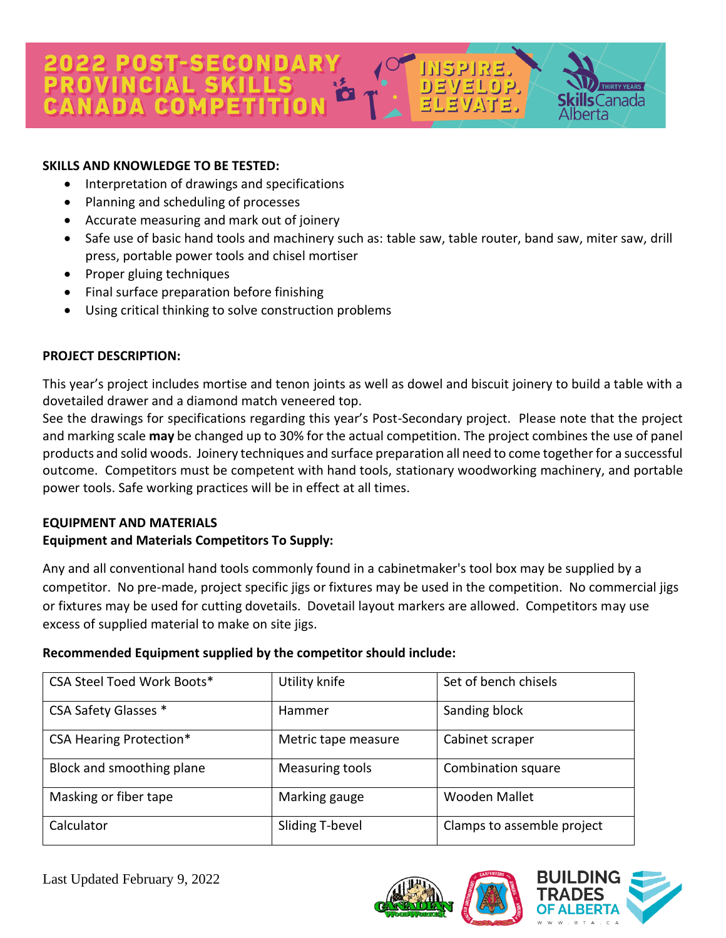# 2 POST-SECONDAR

#### **SKILLS AND KNOWLEDGE TO BE TESTED:**

- Interpretation of drawings and specifications
- Planning and scheduling of processes
- Accurate measuring and mark out of joinery
- Safe use of basic hand tools and machinery such as: table saw, table router, band saw, miter saw, drill press, portable power tools and chisel mortiser

[북V]북니(0] 2.

 $\mathsf{s}$ Canada

erta

- Proper gluing techniques
- Final surface preparation before finishing
- Using critical thinking to solve construction problems

#### **PROJECT DESCRIPTION:**

This year's project includes mortise and tenon joints as well as dowel and biscuit joinery to build a table with a dovetailed drawer and a diamond match veneered top.

See the drawings for specifications regarding this year's Post-Secondary project. Please note that the project and marking scale **may** be changed up to 30% for the actual competition. The project combines the use of panel products and solid woods. Joinery techniques and surface preparation all need to come together for a successful outcome. Competitors must be competent with hand tools, stationary woodworking machinery, and portable power tools. Safe working practices will be in effect at all times.

#### **EQUIPMENT AND MATERIALS**

#### **Equipment and Materials Competitors To Supply:**

Any and all conventional hand tools commonly found in a cabinetmaker's tool box may be supplied by a competitor. No pre-made, project specific jigs or fixtures may be used in the competition. No commercial jigs or fixtures may be used for cutting dovetails. Dovetail layout markers are allowed. Competitors may use excess of supplied material to make on site jigs.

#### **Recommended Equipment supplied by the competitor should include:**

| <b>CSA Steel Toed Work Boots*</b> | Utility knife       | Set of bench chisels       |
|-----------------------------------|---------------------|----------------------------|
| CSA Safety Glasses *              | Hammer              | Sanding block              |
| <b>CSA Hearing Protection*</b>    | Metric tape measure | Cabinet scraper            |
| Block and smoothing plane         | Measuring tools     | Combination square         |
| Masking or fiber tape             | Marking gauge       | Wooden Mallet              |
| Calculator                        | Sliding T-bevel     | Clamps to assemble project |

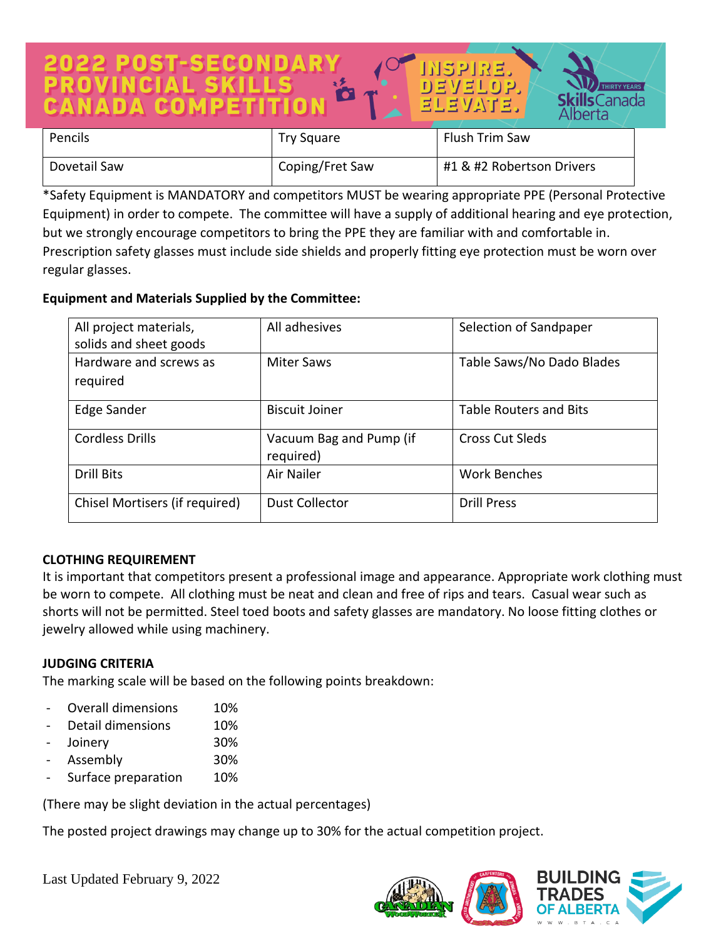# T-SECOND VELOP. **ls**Canada berta Pencils **Pencils** Try Square Flush Trim Saw

| Dovetail Saw | Coping/Fret Saw | #1 & #2 Robertson Drivers |
|--------------|-----------------|---------------------------|

\*Safety Equipment is MANDATORY and competitors MUST be wearing appropriate PPE (Personal Protective Equipment) in order to compete. The committee will have a supply of additional hearing and eye protection, but we strongly encourage competitors to bring the PPE they are familiar with and comfortable in. Prescription safety glasses must include side shields and properly fitting eye protection must be worn over regular glasses.

# **Equipment and Materials Supplied by the Committee:**

| All project materials,<br>solids and sheet goods | All adhesives                        | Selection of Sandpaper        |
|--------------------------------------------------|--------------------------------------|-------------------------------|
| Hardware and screws as<br>required               | <b>Miter Saws</b>                    | Table Saws/No Dado Blades     |
| Edge Sander                                      | <b>Biscuit Joiner</b>                | <b>Table Routers and Bits</b> |
| <b>Cordless Drills</b>                           | Vacuum Bag and Pump (if<br>required) | <b>Cross Cut Sleds</b>        |
| <b>Drill Bits</b>                                | Air Nailer                           | <b>Work Benches</b>           |
| Chisel Mortisers (if required)                   | <b>Dust Collector</b>                | <b>Drill Press</b>            |

#### **CLOTHING REQUIREMENT**

It is important that competitors present a professional image and appearance. Appropriate work clothing must be worn to compete. All clothing must be neat and clean and free of rips and tears. Casual wear such as shorts will not be permitted. Steel toed boots and safety glasses are mandatory. No loose fitting clothes or jewelry allowed while using machinery.

#### **JUDGING CRITERIA**

The marking scale will be based on the following points breakdown:

- Overall dimensions 10%
- Detail dimensions 10%
- Joinery 30%
- Assembly 30%
- Surface preparation 10%

(There may be slight deviation in the actual percentages)

The posted project drawings may change up to 30% for the actual competition project.

Last Updated February 9, 2022



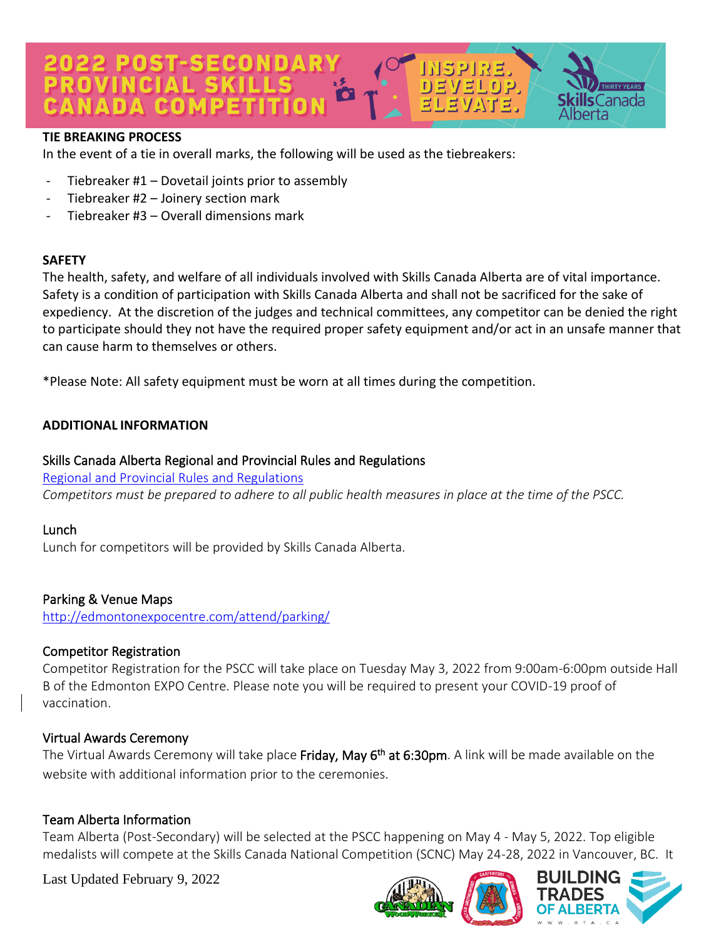# 022 POST-SECONDAR)<br>ROVINCIAL SKILLS  $EVI$   $E[0]$   $D$  $\mathsf{s}$ Canada CANADA COMP

#### **TIE BREAKING PROCESS**

In the event of a tie in overall marks, the following will be used as the tiebreakers:

- Tiebreaker  $#1 -$  Dovetail joints prior to assembly
- Tiebreaker #2 Joinery section mark
- Tiebreaker #3 Overall dimensions mark

#### **SAFETY**

The health, safety, and welfare of all individuals involved with Skills Canada Alberta are of vital importance. Safety is a condition of participation with Skills Canada Alberta and shall not be sacrificed for the sake of expediency. At the discretion of the judges and technical committees, any competitor can be denied the right to participate should they not have the required proper safety equipment and/or act in an unsafe manner that can cause harm to themselves or others.

\*Please Note: All safety equipment must be worn at all times during the competition.

## **ADDITIONAL INFORMATION**

## Skills Canada Alberta Regional and Provincial Rules and Regulations

[Regional and Provincial Rules and Regulations](https://skillsalberta.com/policies-and-procedures)

*Competitors must be prepared to adhere to all public health measures in place at the time of the PSCC.*

#### Lunch

Lunch for competitors will be provided by Skills Canada Alberta.

# Parking & Venue Maps

<http://edmontonexpocentre.com/attend/parking/>

# Competitor Registration

Competitor Registration for the PSCC will take place on Tuesday May 3, 2022 from 9:00am-6:00pm outside Hall B of the Edmonton EXPO Centre. Please note you will be required to present your COVID-19 proof of vaccination.

# Virtual Awards Ceremony

The Virtual Awards Ceremony will take place **Friday, May 6<sup>th</sup> at 6:30pm**. A link will be made available on the website with additional information prior to the ceremonies.

# Team Alberta Information

Team Alberta (Post-Secondary) will be selected at the PSCC happening on May 4 - May 5, 2022. Top eligible medalists will compete at the Skills Canada National Competition (SCNC) May 24-28, 2022 in Vancouver, BC. It

Last Updated February 9, 2022